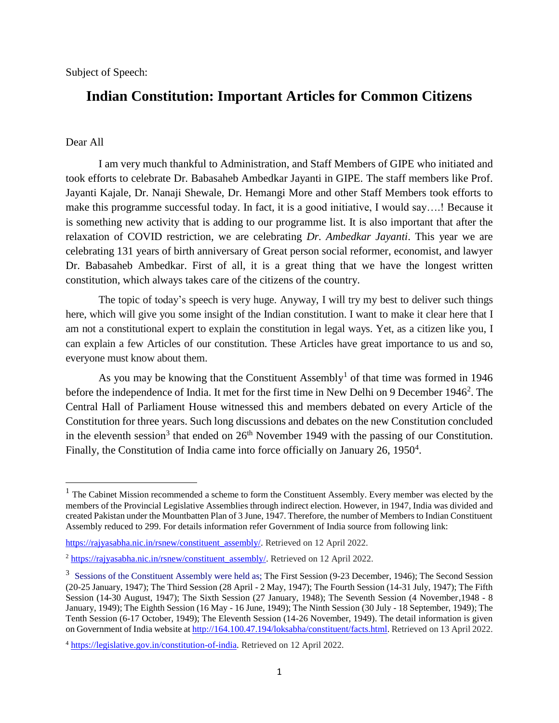Subject of Speech:

## **Indian Constitution: Important Articles for Common Citizens**

## Dear All

 $\overline{a}$ 

I am very much thankful to Administration, and Staff Members of GIPE who initiated and took efforts to celebrate Dr. Babasaheb Ambedkar Jayanti in GIPE. The staff members like Prof. Jayanti Kajale, Dr. Nanaji Shewale, Dr. Hemangi More and other Staff Members took efforts to make this programme successful today. In fact, it is a good initiative, I would say….! Because it is something new activity that is adding to our programme list. It is also important that after the relaxation of COVID restriction, we are celebrating *Dr. Ambedkar Jayanti*. This year we are celebrating 131 years of birth anniversary of Great person social reformer, economist, and lawyer Dr. Babasaheb Ambedkar. First of all, it is a great thing that we have the longest written constitution, which always takes care of the citizens of the country.

The topic of today's speech is very huge. Anyway, I will try my best to deliver such things here, which will give you some insight of the Indian constitution. I want to make it clear here that I am not a constitutional expert to explain the constitution in legal ways. Yet, as a citizen like you, I can explain a few Articles of our constitution. These Articles have great importance to us and so, everyone must know about them.

As you may be knowing that the Constituent Assembly<sup>1</sup> of that time was formed in 1946 before the independence of India. It met for the first time in New Delhi on 9 December 1946<sup>2</sup>. The Central Hall of Parliament House witnessed this and members debated on every Article of the Constitution for three years. Such long discussions and debates on the new Constitution concluded in the eleventh session<sup>3</sup> that ended on  $26<sup>th</sup>$  November 1949 with the passing of our Constitution. Finally, the Constitution of India came into force officially on January 26, 1950<sup>4</sup>.

<sup>&</sup>lt;sup>1</sup> The Cabinet Mission recommended a scheme to form the Constituent Assembly. Every member was elected by the members of the Provincial Legislative Assemblies through indirect election. However, in 1947, India was divided and created Pakistan under the Mountbatten Plan of 3 June, 1947. Therefore, the number of Members to Indian Constituent Assembly reduced to 299. For details information refer Government of India source from following link:

[https://rajyasabha.nic.in/rsnew/constituent\\_assembly/.](https://rajyasabha.nic.in/rsnew/constituent_assembly/) Retrieved on 12 April 2022.

<sup>&</sup>lt;sup>2</sup> [https://rajyasabha.nic.in/rsnew/constituent\\_assembly/.](https://rajyasabha.nic.in/rsnew/constituent_assembly/) Retrieved on 12 April 2022.

<sup>&</sup>lt;sup>3</sup> Sessions of the Constituent Assembly were held as; The First Session (9-23 December, 1946); The Second Session (20-25 January, 1947); The Third Session (28 April - 2 May, 1947); The Fourth Session (14-31 July, 1947); The Fifth Session (14-30 August, 1947); The Sixth Session (27 January, 1948); The Seventh Session (4 November,1948 - 8 January, 1949); The Eighth Session (16 May - 16 June, 1949); The Ninth Session (30 July - 18 September, 1949); The Tenth Session (6-17 October, 1949); The Eleventh Session (14-26 November, 1949). The detail information is given on Government of India website a[t http://164.100.47.194/loksabha/constituent/facts.html.](http://164.100.47.194/loksabha/constituent/facts.html) Retrieved on 13 April 2022.

<sup>4</sup> [https://legislative.gov.in/constitution-of-india.](https://legislative.gov.in/constitution-of-india) Retrieved on 12 April 2022.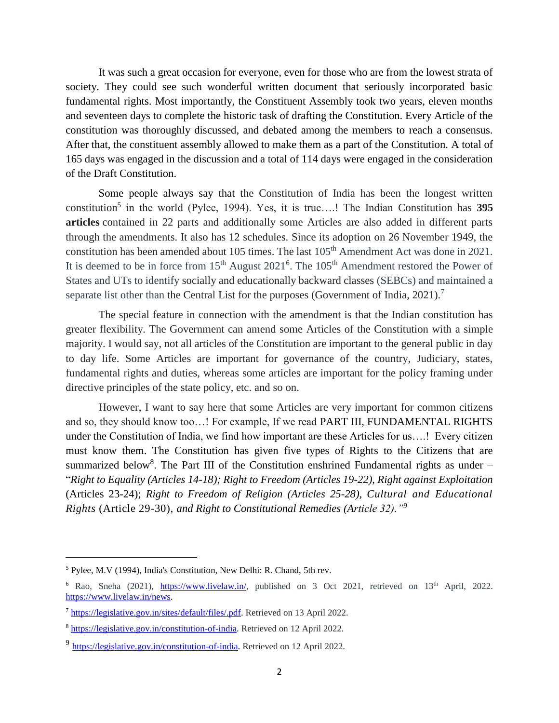It was such a great occasion for everyone, even for those who are from the lowest strata of society. They could see such wonderful written document that seriously incorporated basic fundamental rights. Most importantly, the Constituent Assembly took two years, eleven months and seventeen days to complete the historic task of drafting the Constitution. Every Article of the constitution was thoroughly discussed, and debated among the members to reach a consensus. After that, the constituent assembly allowed to make them as a part of the Constitution. A total of 165 days was engaged in the discussion and a total of 114 days were engaged in the consideration of the Draft Constitution.

Some people always say that the Constitution of India has been the longest written constitution<sup>5</sup> in the world (Pylee, 1994). Yes, it is true....! The Indian Constitution has 395 **articles** contained in 22 parts and additionally some Articles are also added in different parts through the amendments. It also has 12 schedules. Since its adoption on 26 November 1949, the constitution has been amended about 105 times. The last 105<sup>th</sup> Amendment Act was done in 2021. It is deemed to be in force from  $15<sup>th</sup>$  August  $2021<sup>6</sup>$ . The  $105<sup>th</sup>$  Amendment restored the Power of States and UTs to identify socially and educationally backward classes (SEBCs) and maintained a separate list other than the Central List for the purposes (Government of India, 2021).<sup>7</sup>

The special feature in connection with the amendment is that the Indian constitution has greater flexibility. The Government can amend some Articles of the Constitution with a simple majority. I would say, not all articles of the Constitution are important to the general public in day to day life. Some Articles are important for governance of the country, Judiciary, states, fundamental rights and duties, whereas some articles are important for the policy framing under directive principles of the state policy, etc. and so on.

However, I want to say here that some Articles are very important for common citizens and so, they should know too…! For example, If we read PART III, FUNDAMENTAL RIGHTS under the Constitution of India, we find how important are these Articles for us….! Every citizen must know them. The Constitution has given five types of Rights to the Citizens that are summarized below<sup>8</sup>. The Part III of the Constitution enshrined Fundamental rights as under  $-$ "*Right to Equality (Articles 14-18); Right to Freedom (Articles 19-22), Right against Exploitation*  (Articles 23-24); *Right to Freedom of Religion (Articles 25-28), Cultural and Educational Rights* (Article 29-30), *and Right to Constitutional Remedies (Article 32)."<sup>9</sup>*

 $\overline{\phantom{a}}$ 

<sup>5</sup> Pylee, M.V (1994), India's Constitution, New Delhi: R. Chand, 5th rev.

<sup>&</sup>lt;sup>6</sup> Rao, Sneha (2021), [https://www.livelaw.in/,](https://www.livelaw.in/) published on 3 Oct 2021, retrieved on  $13<sup>th</sup>$  April, 2022. [https://www.livelaw.in/news.](https://www.livelaw.in/news)

<sup>7</sup> [https://legislative.gov.in/sites/default/files/.pdf.](https://legislative.gov.in/sites/default/files/.pdf) Retrieved on 13 April 2022.

<sup>8</sup> [https://legislative.gov.in/constitution-of-india.](https://legislative.gov.in/constitution-of-india) Retrieved on 12 April 2022.

<sup>&</sup>lt;sup>9</sup> [https://legislative.gov.in/constitution-of-india.](https://legislative.gov.in/constitution-of-india) Retrieved on 12 April 2022.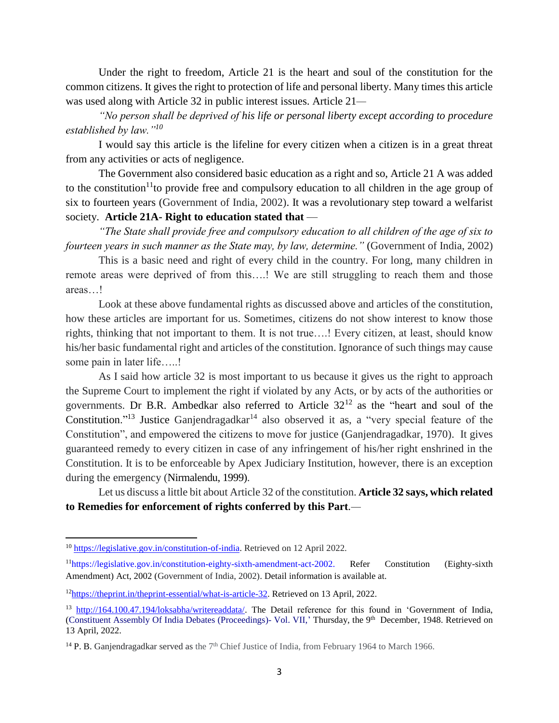Under the right to freedom, Article 21 is the heart and soul of the constitution for the common citizens. It gives the right to protection of life and personal liberty. Many times this article was used along with Article 32 in public interest issues. Article 21*—*

*"No person shall be deprived of his life or personal liberty except according to procedure established by law."<sup>10</sup>*

I would say this article is the lifeline for every citizen when a citizen is in a great threat from any activities or acts of negligence.

The Government also considered basic education as a right and so, Article 21 A was added to the constitution<sup>11</sup>to provide free and compulsory education to all children in the age group of six to fourteen years (Government of India, 2002). It was a revolutionary step toward a welfarist society. **Article 21A- Right to education stated that** —

*"The State shall provide free and compulsory education to all children of the age of six to fourteen years in such manner as the State may, by law, determine."* (Government of India, 2002)

This is a basic need and right of every child in the country. For long, many children in remote areas were deprived of from this….! We are still struggling to reach them and those areas…!

Look at these above fundamental rights as discussed above and articles of the constitution, how these articles are important for us. Sometimes, citizens do not show interest to know those rights, thinking that not important to them. It is not true….! Every citizen, at least, should know his/her basic fundamental right and articles of the constitution. Ignorance of such things may cause some pain in later life…..!

As I said how article 32 is most important to us because it gives us the right to approach the Supreme Court to implement the right if violated by any Acts, or by acts of the authorities or governments. Dr B.R. Ambedkar also referred to Article  $32^{12}$  as the "heart and soul of the Constitution."<sup>13</sup> Justice Ganjendragadkar<sup>14</sup> also observed it as, a "very special feature of the Constitution", and empowered the citizens to move for justice (Ganjendragadkar, 1970). It gives guaranteed remedy to every citizen in case of any infringement of his/her right enshrined in the Constitution. It is to be enforceable by Apex Judiciary Institution, however, there is an exception during the emergency (Nirmalendu, 1999).

Let us discuss a little bit about Article 32 of the constitution. **Article 32 says, which related to Remedies for enforcement of rights conferred by this Part***.—*

 $\overline{a}$ 

<sup>&</sup>lt;sup>10</sup> [https://legislative.gov.in/constitution-of-india.](https://legislative.gov.in/constitution-of-india) Retrieved on 12 April 2022.

<sup>11</sup>[https://legislative.gov.in/constitution-eighty-sixth-amendment-act-2002.](https://legislative.gov.in/constitution-eighty-sixth-amendment-act-2002) Refer Constitution (Eighty-sixth Amendment) Act, 2002 (Government of India, 2002). Detail information is available at.

<sup>&</sup>lt;sup>12</sup>[https://theprint.in/theprint-essential/what-is-article-32.](https://theprint.in/theprint-essential/what-is-article-32) Retrieved on 13 April, 2022.

<sup>&</sup>lt;sup>13</sup> [http://164.100.47.194/loksabha/writereaddata/.](http://164.100.47.194/loksabha/writereaddata/) The Detail reference for this found in 'Government of India, (Constituent Assembly Of India Debates (Proceedings) - Vol. VII,' Thursday, the 9<sup>th</sup> December, 1948. Retrieved on 13 April, 2022.

<sup>&</sup>lt;sup>14</sup> P. B. Ganjendragadkar served as the 7<sup>th</sup> Chief Justice of India, from February 1964 to March 1966.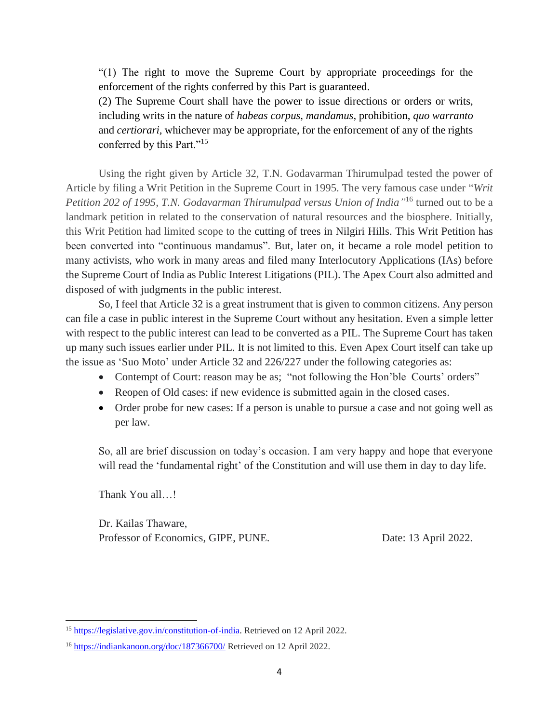"(1) The right to move the Supreme Court by appropriate proceedings for the enforcement of the rights conferred by this Part is guaranteed.

(2) The Supreme Court shall have the power to issue directions or orders or writs, including writs in the nature of *habeas corpus, mandamus,* prohibition, *quo warranto*  and *certiorari,* whichever may be appropriate, for the enforcement of any of the rights conferred by this Part."<sup>15</sup>

Using the right given by Article 32, T.N. Godavarman Thirumulpad tested the power of Article by filing a Writ Petition in the Supreme Court in 1995. The very famous case under "*Writ Petition 202 of 1995, T.N. Godavarman Thirumulpad versus Union of India"* <sup>16</sup> turned out to be a landmark petition in related to the conservation of natural resources and the biosphere. Initially, this Writ Petition had limited scope to the cutting of trees in Nilgiri Hills. This Writ Petition has been converted into "continuous mandamus". But, later on, it became a role model petition to many activists, who work in many areas and filed many Interlocutory Applications (IAs) before the Supreme Court of India as Public Interest Litigations (PIL). The Apex Court also admitted and disposed of with judgments in the public interest.

So, I feel that Article 32 is a great instrument that is given to common citizens. Any person can file a case in public interest in the Supreme Court without any hesitation. Even a simple letter with respect to the public interest can lead to be converted as a PIL. The Supreme Court has taken up many such issues earlier under PIL. It is not limited to this. Even Apex Court itself can take up the issue as 'Suo Moto' under Article 32 and 226/227 under the following categories as:

- Contempt of Court: reason may be as; "not following the Hon'ble Courts' orders"
- Reopen of Old cases: if new evidence is submitted again in the closed cases.
- Order probe for new cases: If a person is unable to pursue a case and not going well as per law.

So, all are brief discussion on today's occasion. I am very happy and hope that everyone will read the 'fundamental right' of the Constitution and will use them in day to day life.

Thank You all…!

 $\overline{a}$ 

Dr. Kailas Thaware, Professor of Economics, GIPE, PUNE. Date: 13 April 2022.

<sup>&</sup>lt;sup>15</sup> [https://legislative.gov.in/constitution-of-india.](https://legislative.gov.in/constitution-of-india) Retrieved on 12 April 2022.

<sup>16</sup> <https://indiankanoon.org/doc/187366700/> Retrieved on 12 April 2022.